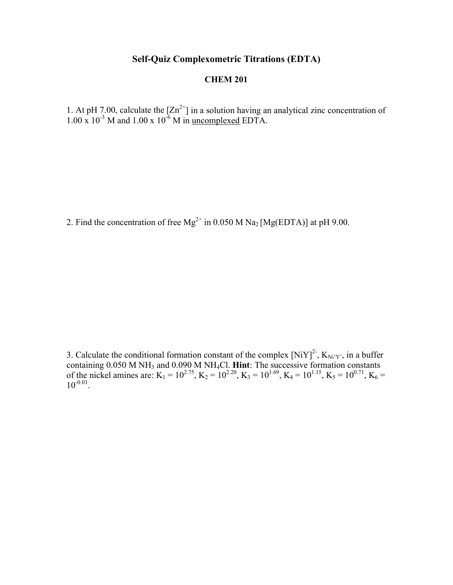## **Self-Quiz Complexometric Titrations (EDTA)**

## **CHEM 201**

1. At pH 7.00, calculate the  $[Zn^{2+}]$  in a solution having an analytical zinc concentration of  $1.00 \times 10^{-3}$  M and  $1.00 \times 10^{-6}$  M in uncomplexed EDTA.

2. Find the concentration of free  $Mg^{2+}$  in 0.050 M Na<sub>2</sub> [Mg(EDTA)] at pH 9.00.

3. Calculate the conditional formation constant of the complex  $[NiY]^2$ ,  $K_{Ni'Y'}$ , in a buffer containing 0.050 M NH3 and 0.090 M NH4Cl. **Hint**: The successive formation constants of the nickel amines are:  $K_1 = 10^{2.75}$ ,  $K_2 = 10^{2.20}$ ,  $K_3 = 10^{1.69}$ ,  $K_4 = 10^{1.15}$ ,  $K_5 = 10^{0.71}$ ,  $K_6 =$  $10^{-0.01}$ .